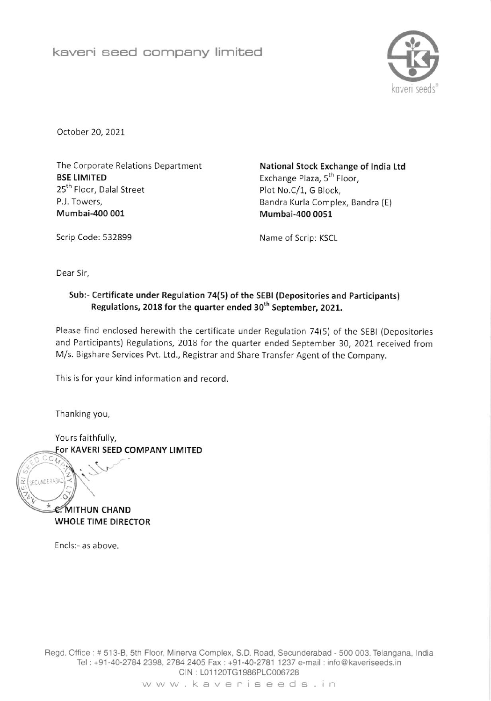

October 20,2021

The Corporate Relations Department **BSE LIMITED** 25<sup>th</sup> Floor, Dalal Street P.J. Towers, Mumbai-400 001

National Stock Exchange of India Ltd Exchange Plaza, 5<sup>th</sup> Floor, Plot No.C/1, G Block, Bandra Kurla Complex, Bandra (E) Mumbai-400 0051

Scrip Code: 532899 Name of Scrip: KSCL

Dear Sir,

## Sub:- Certificate under Regulation 74(5) of the SEBI (Depositories and Participants) Regulations, 2018 for the quarter ended 30<sup>th</sup> September, 2021.

Please find enclosed herewith the certificate under Regulation 74(5) of the SEBt (Depositories and Participants) Regulations, 2018 for the quarter ended September 30, 2021 received from M/s. Bigshare Services Pvt. Ltd., Registrar and Share Transfer Agent of the Company.

This is for your kind information and record

Thanking you,

Z

il

c

Yours faithfully, For KAVERI SEED COMPANY LIMITED  $\overline{\circ}$ 

**C. MITHUN CHAND** WHOLE TIME DIRECTOR

 $\mathcal{N}$ 

Encls:- as above.

Regd. Office : # 513-B, 5th Floor, Minerva Complex, S.D. Road, Secunderabad - 500 003. Telangana, India Tel: +91-40-2784 2398, 2784 2405 Fax: +91-40-2781 1237 e-mail: info@kaveriseeds.in CIN : 101 120TG1986PLC006728